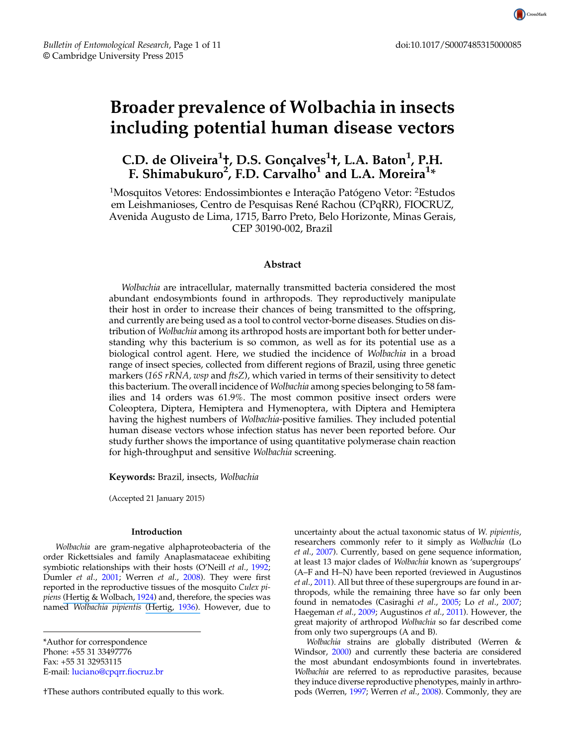# Broader prevalence of Wolbachia in insects including potential human disease vectors

C.D. de Oliveira<sup>1</sup>ț, D.S. Gonçalves<sup>1</sup>t, L.A. Baton<sup>1</sup>, P.H. F. Shimabukuro $^2$ , F.D. Carvalho $^1$  and L.A. Moreira $^{1\ast}$ 

<sup>1</sup>Mosquitos Vetores: Endossimbiontes e Interação Patógeno Vetor: <sup>2</sup>Estudos em Leishmanioses, Centro de Pesquisas René Rachou (CPqRR), FIOCRUZ, Avenida Augusto de Lima, 1715, Barro Preto, Belo Horizonte, Minas Gerais, CEP 30190-002, Brazil

# Abstract

Wolbachia are intracellular, maternally transmitted bacteria considered the most abundant endosymbionts found in arthropods. They reproductively manipulate their host in order to increase their chances of being transmitted to the offspring, and currently are being used as a tool to control vector-borne diseases. Studies on distribution of *Wolbachia* among its arthropod hosts are important both for better understanding why this bacterium is so common, as well as for its potential use as a biological control agent. Here, we studied the incidence of Wolbachia in a broad range of insect species, collected from different regions of Brazil, using three genetic markers (16S  $rRNA$ , wsp and  $ftsZ$ ), which varied in terms of their sensitivity to detect this bacterium. The overall incidence of *Wolbachia* among species belonging to 58 families and 14 orders was 61.9%. The most common positive insect orders were Coleoptera, Diptera, Hemiptera and Hymenoptera, with Diptera and Hemiptera having the highest numbers of Wolbachia-positive families. They included potential human disease vectors whose infection status has never been reported before. Our study further shows the importance of using quantitative polymerase chain reaction for high-throughput and sensitive Wolbachia screening.

Keywords: Brazil, insects, Wolbachia

(Accepted 21 January 2015)

## Introduction

Wolbachia are gram-negative alphaproteobacteria of the order Rickettsiales and family Anaplasmataceae exhibiting symbiotic relationships with their hosts (O'Neill et al., [1992](#page-9-0); Dumler et al., [2001](#page-8-0); Werren et al., [2008](#page-10-0)). They were first reported in the reproductive tissues of the mosquito Culex pi-piens [\(Hertig & Wolbach,](https://www.researchgate.net/publication/40459490_Studies_on_Rickettsia-Like_Micro-Organisms_in_Insects?el=1_x_8&enrichId=rgreq-2d0a2ff1-f33d-4ed8-8065-c2403a302f4b&enrichSource=Y292ZXJQYWdlOzI3MzYzOTU1ODtBUzoyMDg3OTE0MDE0MzkyMzhAMTQyNjc5MTE1NzU4NA==) [1924](#page-9-0)) and, therefore, the species was named Wolbachia pipientis [\(Hertig,](https://www.researchgate.net/publication/231837874_The_Rickettsia_Wolbachia_pipientis_(gen._et_sp.n.)_and_Associated_Inclusions_of_the_Mosquito_Culex_pipiens?el=1_x_8&enrichId=rgreq-2d0a2ff1-f33d-4ed8-8065-c2403a302f4b&enrichSource=Y292ZXJQYWdlOzI3MzYzOTU1ODtBUzoyMDg3OTE0MDE0MzkyMzhAMTQyNjc5MTE1NzU4NA==) [1936](#page-9-0)). However, due to

\*Author for correspondence Phone: +55 31 33497776 Fax: +55 31 32953115 E-mail: [luciano@cpqrr.fiocruz.br](mailto:luciano@cpqrr.fiocruz.br)

†These authors contributed equally to this work.

uncertainty about the actual taxonomic status of W. pipientis, researchers commonly refer to it simply as Wolbachia (Lo et al., [2007](#page-9-0)). Currently, based on gene sequence information, at least 13 major clades of Wolbachia known as 'supergroups' (A–F and H–N) have been reported (reviewed in Augustinos et al., [2011\)](#page-8-0). All but three of these supergroups are found in arthropods, while the remaining three have so far only been found in nematodes (Casiraghi et al., [2005;](#page-8-0) Lo et al., [2007](#page-9-0); Haegeman et al., [2009;](#page-9-0) Augustinos et al., [2011](#page-8-0)). However, the great majority of arthropod Wolbachia so far described come from only two supergroups (A and B).

Wolbachia strains are globally distributed (Werren & Windsor, [2000](#page-10-0)) and currently these bacteria are considered the most abundant endosymbionts found in invertebrates. Wolbachia are referred to as reproductive parasites, because they induce diverse reproductive phenotypes, mainly in arthro-pods (Werren, [1997;](#page-10-0) Werren et al., [2008](#page-10-0)). Commonly, they are

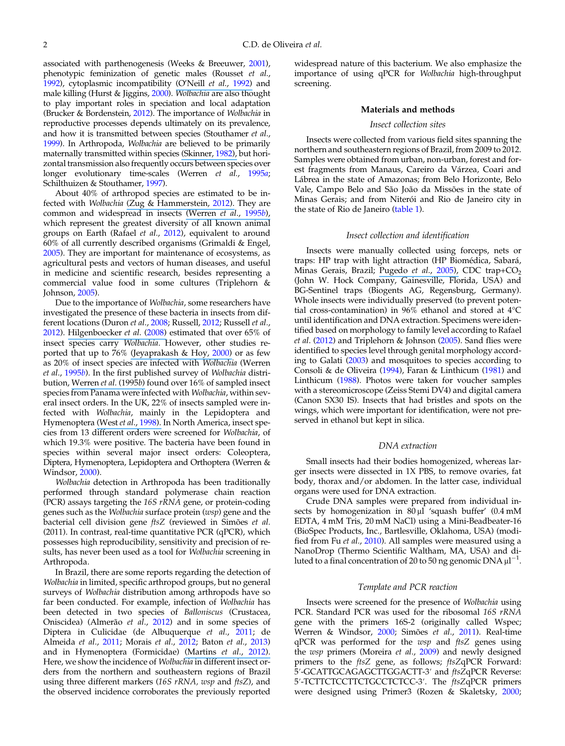associated with parthenogenesis (Weeks & Breeuwer, [2001\)](#page-10-0), phenotypic feminization of genetic males (Rousset et al., [1992](#page-10-0)), cytoplasmic incompatibility (O'Neill et al., [1992\)](https://www.researchgate.net/publication/21599103_16S_rRNA_phylogenetic_analysis_of_the_bacterial_endosymbionts_associated_with_CI_in_insects?el=1_x_8&enrichId=rgreq-2d0a2ff1-f33d-4ed8-8065-c2403a302f4b&enrichSource=Y292ZXJQYWdlOzI3MzYzOTU1ODtBUzoyMDg3OTE0MDE0MzkyMzhAMTQyNjc5MTE1NzU4NA==) and male killing (Hurst & Jiggins, [2000\)](#page-9-0). Wolbachia are also thought to play important roles in speciation and local adaptation (Brucker & Bordenstein, [2012\)](#page-8-0). The importance of Wolbachia in reproductive processes depends ultimately on its prevalence, and how it is transmitted between species (Stouthamer et al., [1999](#page-10-0)). In Arthropoda, Wolbachia are believed to be primarily maternally transmitted within species [\(Skinner,](https://www.researchgate.net/publication/6068426_Maternally_Inherited_Sex_Ratio_in_the_Parasitoid_Wasp_Nasonia_vitripennis?el=1_x_8&enrichId=rgreq-2d0a2ff1-f33d-4ed8-8065-c2403a302f4b&enrichSource=Y292ZXJQYWdlOzI3MzYzOTU1ODtBUzoyMDg3OTE0MDE0MzkyMzhAMTQyNjc5MTE1NzU4NA==) [1982](#page-10-0)), but horizontal transmission also frequently occurs between species over longer evolutionary time-scales (Werren et al., [1995](#page-10-0)a; Schilthuizen & Stouthamer, [1997](#page-10-0)).

About 40% of arthropod species are estimated to be in-fected with Wolbachia [\(Zug & Hammerstein,](https://www.researchgate.net/publication/225287797_Still_a_Host_of_Hosts_for_Wolbachia_Analysis_of_Recent_Data_Suggests_That_40_of_Terrestrial_Arthropod_Species_Are_Infected?el=1_x_8&enrichId=rgreq-2d0a2ff1-f33d-4ed8-8065-c2403a302f4b&enrichSource=Y292ZXJQYWdlOzI3MzYzOTU1ODtBUzoyMDg3OTE0MDE0MzkyMzhAMTQyNjc5MTE1NzU4NA==) [2012\)](#page-10-0). They are common and widespread in insects [\(Werren](https://www.researchgate.net/publication/238324299_Distribution_of_Wolbachia_among_Neotropical_Arthropods?el=1_x_8&enrichId=rgreq-2d0a2ff1-f33d-4ed8-8065-c2403a302f4b&enrichSource=Y292ZXJQYWdlOzI3MzYzOTU1ODtBUzoyMDg3OTE0MDE0MzkyMzhAMTQyNjc5MTE1NzU4NA==) et al., [1995](#page-10-0)b), which represent the greatest diversity of all known animal groups on Earth (Rafael et al., [2012\)](#page-9-0), equivalent to around 60% of all currently described organisms (Grimaldi & Engel, [2005](#page-9-0)). They are important for maintenance of ecosystems, as agricultural pests and vectors of human diseases, and useful in medicine and scientific research, besides representing a commercial value food in some cultures (Triplehorn & Johnson, [2005](#page-10-0)).

Due to the importance of Wolbachia, some researchers have investigated the presence of these bacteria in insects from dif-ferent locations (Duron et al., [2008](#page-8-0); Russell, [2012](#page-10-0); Russell et al., [2012](#page-10-0)). [Hilgenboecker](https://www.researchgate.net/publication/5538868_Hilgenboecker_K_Hammerstein_P_Schlattmann_P_Telschow_A_Werren_JH._How_many_species_are_infected_with_Wolbachia_A_statistical_analysis_of_current_data._FEMS_Microbiol_Lett_281_215-220?el=1_x_8&enrichId=rgreq-2d0a2ff1-f33d-4ed8-8065-c2403a302f4b&enrichSource=Y292ZXJQYWdlOzI3MzYzOTU1ODtBUzoyMDg3OTE0MDE0MzkyMzhAMTQyNjc5MTE1NzU4NA==) et al. ([2008\)](#page-9-0) estimated that over 65% of insect species carry Wolbachia. However, other studies re-ported that up to 76% [\(Jeyaprakash & Hoy,](https://www.researchgate.net/publication/12349828_Jeyaprakash_A_Hoy_MA._Long_PCR_improves_Wolbachia_DNA_amplification_wsp_sequences_found_in_76_of_sixty-three_arthropod_species._Insect_Mol_Biol_9_393-405?el=1_x_8&enrichId=rgreq-2d0a2ff1-f33d-4ed8-8065-c2403a302f4b&enrichSource=Y292ZXJQYWdlOzI3MzYzOTU1ODtBUzoyMDg3OTE0MDE0MzkyMzhAMTQyNjc5MTE1NzU4NA==) [2000](#page-9-0)) or as few as 20% of insect species are infected with Wolbachia (Werren et al., [1995](#page-10-0)b). In the first published survey of Wolbachia distribution, [Werren](https://www.researchgate.net/publication/238324299_Distribution_of_Wolbachia_among_Neotropical_Arthropods?el=1_x_8&enrichId=rgreq-2d0a2ff1-f33d-4ed8-8065-c2403a302f4b&enrichSource=Y292ZXJQYWdlOzI3MzYzOTU1ODtBUzoyMDg3OTE0MDE0MzkyMzhAMTQyNjc5MTE1NzU4NA==) et al. (1995b) found over 16% of sampled insect species from Panama were infected with Wolbachia, within several insect orders. In the UK, 22% of insects sampled were infected with Wolbachia, mainly in the Lepidoptera and Hymenoptera (West et al., [1998\).](https://www.researchgate.net/publication/13466599_Wolbachia_in_two_hostparasitoid_communities?el=1_x_8&enrichId=rgreq-2d0a2ff1-f33d-4ed8-8065-c2403a302f4b&enrichSource=Y292ZXJQYWdlOzI3MzYzOTU1ODtBUzoyMDg3OTE0MDE0MzkyMzhAMTQyNjc5MTE1NzU4NA==) In North America, insect species from 13 different orders were screened for Wolbachia, of which 19.3% were positive. The bacteria have been found in species within several major insect orders: Coleoptera, Diptera, Hymenoptera, Lepidoptera and Orthoptera (Werren & Windsor, [2000](#page-10-0)).

Wolbachia detection in Arthropoda has been traditionally performed through standard polymerase chain reaction  $(PCR)$  assays targeting the 16S r $\overline{RNA}$  gene, or protein-coding genes such as the Wolbachia surface protein (wsp) gene and the bacterial cell division gene ftsZ (reviewed in Simões et al. (2011). In contrast, real-time quantitative PCR (qPCR), which possesses high reproducibility, sensitivity and precision of results, has never been used as a tool for Wolbachia screening in Arthropoda.

In Brazil, there are some reports regarding the detection of Wolbachia in limited, specific arthropod groups, but no general surveys of Wolbachia distribution among arthropods have so far been conducted. For example, infection of Wolbachia has been detected in two species of Balloniscus (Crustacea, Oniscidea) (Almerão et al., [2012](#page-8-0)) and in some species of Diptera in Culicidae (de Albuquerque et al., [2011;](#page-8-0) de Almeida et al., [2011](#page-8-0); Morais et al., [2012;](#page-9-0) Baton et al., [2013\)](#page-8-0) and in Hymenoptera (Formicidae) [\(Martins](https://www.researchgate.net/publication/221767505_Martins_C_Souza_RF_Bueno_OC._Presence_and_distribution_of_the_endosymbiont_Wolbachia_among_Solenopsis_spp._(Hymenoptera_Formicidae)_from_Brazil_and_its_evolutionary_history._Journal_of_Invertebrate_Pathology?el=1_x_8&enrichId=rgreq-2d0a2ff1-f33d-4ed8-8065-c2403a302f4b&enrichSource=Y292ZXJQYWdlOzI3MzYzOTU1ODtBUzoyMDg3OTE0MDE0MzkyMzhAMTQyNjc5MTE1NzU4NA==) et al., [2012\)](#page-9-0). Here, we show the incidence of Wolbachia in different insect orders from the northern and southeastern regions of Brazil using three different markers (16S rRNA, wsp and ftsZ), and the observed incidence corroborates the previously reported

widespread nature of this bacterium. We also emphasize the importance of using qPCR for Wolbachia high-throughput screening.

## Materials and methods

## Insect collection sites

Insects were collected from various field sites spanning the northern and southeastern regions of Brazil, from 2009 to 2012. Samples were obtained from urban, non-urban, forest and forest fragments from Manaus, Careiro da Várzea, Coari and Lábrea in the state of Amazonas; from Belo Horizonte, Belo Vale, Campo Belo and São João da Missões in the state of Minas Gerais; and from Niterói and Rio de Janeiro city in the state of Rio de Janeiro [\(table 1](#page-2-0)).

## Insect collection and identification

Insects were manually collected using forceps, nets or traps: HP trap with light attraction (HP Biomédica, Sabará, Minas Gerais, Brazil; [Pugedo](https://www.researchgate.net/publication/26398508_HP_um_modelo_aprimorado_de_armadilha_luminosa_de_suco_para_a_captura_de_pequenos_insetos?el=1_x_8&enrichId=rgreq-2d0a2ff1-f33d-4ed8-8065-c2403a302f4b&enrichSource=Y292ZXJQYWdlOzI3MzYzOTU1ODtBUzoyMDg3OTE0MDE0MzkyMzhAMTQyNjc5MTE1NzU4NA==) et al., [2005](#page-9-0)), CDC trap+CO<sub>2</sub> (John W. Hock Company, Gainesville, Florida, USA) and BG-Sentinel traps (Biogents AG, Regensburg, Germany). Whole insects were individually preserved (to prevent potential cross-contamination) in 96% ethanol and stored at 4°C until identification and DNA extraction. Specimens were identified based on morphology to family level according to Rafael et al. [\(2012](#page-9-0)) and Triplehorn & Johnson [\(2005](#page-10-0)). Sand flies were identified to species level through genital morphology according to Galati ([2003\)](#page-9-0) and mosquitoes to species according to Consoli & de Oliveira ([1994\)](#page-8-0), Faran & Linthicum ([1981\)](#page-9-0) and Linthicum [\(1988](#page-9-0)). Photos were taken for voucher samples with a stereomicroscope (Zeiss Stemi DV4) and digital camera (Canon SX30 IS). Insects that had bristles and spots on the wings, which were important for identification, were not preserved in ethanol but kept in silica.

## DNA extraction

Small insects had their bodies homogenized, whereas larger insects were dissected in 1X PBS, to remove ovaries, fat body, thorax and/or abdomen. In the latter case, individual organs were used for DNA extraction.

Crude DNA samples were prepared from individual insects by homogenization in 80 μl 'squash buffer' (0.4 mM EDTA, 4 mM Tris, 20 mM NaCl) using a Mini-Beadbeater-16 (BioSpec Products, Inc., Bartlesville, Oklahoma, USA) (modified from Fu et al., [2010\)](#page-9-0). All samples were measured using a NanoDrop (Thermo Scientific Waltham, MA, USA) and diluted to a final concentration of 20 to 50 ng genomic DNA  $\mu$ l<sup>-1</sup>.

#### Template and PCR reaction

Insects were screened for the presence of Wolbachia using PCR. Standard PCR was used for the ribosomal 16S rRNA gene with the primers 16S-2 (originally called Wspec; Werren & Windsor, [2000](#page-10-0); Simões et al., [2011](#page-10-0)). Real-time qPCR was performed for the wsp and ftsZ genes using the wsp primers (Moreira et al., [2009](#page-9-0)) and newly designed primers to the ftsZ gene, as follows; ftsZqPCR Forward: 5'-GCATTGCAGAGCTTGGACTT-3' and ftsZqPCR Reverse: 5′-TCTTCTCCTTCTGCCTCTCC-3′. The ftsZqPCR primers were designed using Primer3 (Rozen & Skaletsky, [2000](#page-10-0);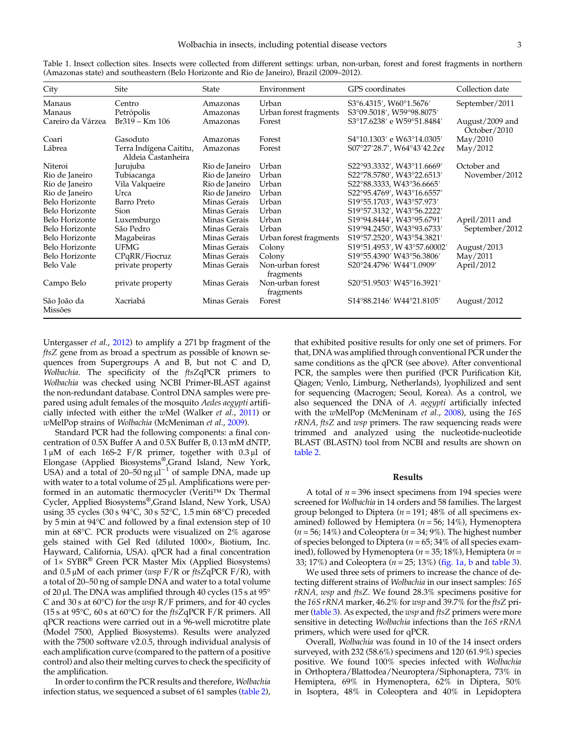| City                   | <b>Site</b>                                   | State          | Environment                   | GPS coordinates                                     | Collection date                 |
|------------------------|-----------------------------------------------|----------------|-------------------------------|-----------------------------------------------------|---------------------------------|
| Manaus                 | Centro                                        | Amazonas       | Urban                         | S3°6.4315', W60°1.5676'                             | September/2011                  |
| Manaus                 | Petrópolis                                    | Amazonas       | Urban forest fragments        | S3°09.5018', W59°98.8075'                           |                                 |
| Careiro da Várzea      | $Br319 - Km 106$                              | Amazonas       | Forest                        | S3°17.6238' e W59°51.8484'                          | August/2009 and<br>October/2010 |
| Coari                  | Gasoduto                                      | Amazonas       | Forest                        | S4°10.1303' e W63°14.0305'                          | May/2010                        |
| Lábrea                 | Terra Indígena Caititu,<br>Aldeia Castanheira | Amazonas       | Forest                        | S07°27'28.7', W64°43'42.2¢¢                         | May/2012                        |
| Niteroi                | Jurujuba                                      | Rio de Janeiro | Urban                         | S22°93.3332', W43°11.6669'                          | October and                     |
| Rio de Janeiro         | Tubiacanga                                    | Rio de Janeiro | Urban                         | S22°78.5780', W43°22.6513'                          | November/2012                   |
| Rio de Janeiro         | Vila Valqueire                                | Rio de Janeiro | Urban                         | S22°88.3333, W43°36.6665'                           |                                 |
| Rio de Janeiro         | Urca                                          | Rio de Janeiro | Urban                         | S22°95.4769', W43°16.6557'                          |                                 |
| Belo Horizonte         | Barro Preto                                   | Minas Gerais   | Urban                         | S19°55.1703', W43°57.973'                           |                                 |
| Belo Horizonte         | Sion                                          | Minas Gerais   | Urban                         | S19°57.3132', W43°56.2222'                          |                                 |
| Belo Horizonte         | Luxemburgo                                    | Minas Gerais   | Urban                         | S19°94.8444', W43°95.6791'                          | April/2011 and                  |
| Belo Horizonte         | São Pedro                                     | Minas Gerais   | Urban                         | S19°94.2450', W43°93.6733'                          | September/2012                  |
| Belo Horizonte         | Magabeiras                                    | Minas Gerais   | Urban forest fragments        | S19°57.2520', W43°54.3821'                          |                                 |
| Belo Horizonte         | <b>UFMG</b>                                   | Minas Gerais   | Colony                        | S19°51.4953', W 43°57.60002'                        | August/2013                     |
| Belo Horizonte         | CPqRR/Fiocruz                                 | Minas Gerais   | Colony                        | S19°55.4390′ W43°56.3806′                           | May/2011                        |
| Belo Vale              | private property                              | Minas Gerais   | Non-urban forest<br>fragments | S20°24.4796' W44°1.0909'                            | April/2012                      |
| Campo Belo             | private property                              | Minas Gerais   | Non-urban forest<br>fragments | S20°51.9503' W45°16.3921'                           |                                 |
| São João da<br>Missões | Xacriabá                                      | Minas Gerais   | Forest                        | S <sub>14</sub> °88.2146′ W <sub>44</sub> °21.8105′ | August $/2012$                  |

<span id="page-2-0"></span>Table 1. Insect collection sites. Insects were collected from different settings: urban, non-urban, forest and forest fragments in northern (Amazonas state) and southeastern (Belo Horizonte and Rio de Janeiro), Brazil (2009–2012).

Untergasser et al., [2012](#page-10-0)) to amplify a 271 bp fragment of the ftsZ gene from as broad a spectrum as possible of known sequences from Supergroups A and B, but not C and D, Wolbachia. The specificity of the ftsZqPCR primers to Wolbachia was checked using NCBI Primer-BLAST against the non-redundant database. Control DNA samples were prepared using adult females of the mosquito Aedes aegypti artifi-cially infected with either the wMel (Walker et al., [2011](#page-10-0)) or wMelPop strains of Wolbachia (McMeniman et al., [2009\)](#page-9-0).

Standard PCR had the following components: a final concentration of 0.5X Buffer A and 0.5X Buffer B, 0.13 mM dNTP, 1 μM of each 16S-2 F/R primer, together with 0.3 μl of Elongase (Applied Biosystems®,Grand Island, New York, USA) and a total of 20–50 ng  $\mu$ l<sup>-1</sup> of sample DNA, made up with water to a total volume of 25 μl. Amplifications were performed in an automatic thermocycler (Veriti™ Dx Thermal Cycler, Applied Biosystems®,Grand Island, New York, USA) using 35 cycles (30 s 94°C, 30 s 52°C, 1.5 min 68°C) preceded by 5 min at 94°C and followed by a final extension step of 10 min at 68°C. PCR products were visualized on 2% agarose gels stained with Gel Red (diluted 1000×, Biotium, Inc. Hayward, California, USA). qPCR had a final concentration of 1× SYBR® Green PCR Master Mix (Applied Biosystems) and  $0.5 \mu$ M of each primer (wsp F/R or ftsZqPCR F/R), with a total of 20–50 ng of sample DNA and water to a total volume of 20 μl. The DNA was amplified through 40 cycles (15 s at 95° C and 30 s at 60°C) for the wsp R/F primers, and for 40 cycles (15 s at 95 $\degree$ C, 60 s at 60 $\degree$ C) for the ftsZqPCR F/R primers. All qPCR reactions were carried out in a 96-well microtitre plate (Model 7500, Applied Biosystems). Results were analyzed with the 7500 software v2.0.5, through individual analysis of each amplification curve (compared to the pattern of a positive control) and also their melting curves to check the specificity of the amplification.

In order to confirm the PCR results and therefore, Wolbachia infection status, we sequenced a subset of 61 samples [\(table 2\)](#page-3-0),

that exhibited positive results for only one set of primers. For that, DNA was amplified through conventional PCR under the same conditions as the qPCR (see above). After conventional PCR, the samples were then purified (PCR Purification Kit, Qiagen; Venlo, Limburg, Netherlands), lyophilized and sent for sequencing (Macrogen; Seoul, Korea). As a control, we also sequenced the DNA of A. aegypti artificially infected with the wMelPop (McMeninam et al., [2008](#page-9-0)), using the 16S  $rRNA$ , ftsZ and  $wsp$  primers. The raw sequencing reads were trimmed and analyzed using the nucleotide-nucleotide BLAST (BLASTN) tool from NCBI and results are shown on [table 2](#page-3-0).

#### Results

A total of  $n = 396$  insect specimens from 194 species were screened for Wolbachia in 14 orders and 58 families. The largest group belonged to Diptera ( $n = 191$ ; 48% of all specimens examined) followed by Hemiptera ( $n = 56$ ; 14%), Hymenoptera  $(n = 56; 14\%)$  and Coleoptera  $(n = 34; 9\%)$ . The highest number of species belonged to Diptera ( $n = 65$ ; 34% of all species examined), followed by Hymenoptera ( $n = 35$ ; 18%), Hemiptera ( $n =$ 33; 17%) and Coleoptera ( $n = 25$ ; 13%) ([fig. 1a, b](#page-4-0) and [table 3\)](#page-5-0).

We used three sets of primers to increase the chance of detecting different strains of Wolbachia in our insect samples: 16S rRNA, wsp and ftsZ. We found 28.3% specimens positive for the 16S rRNA marker, 46.2% for wsp and 39.7% for the ftsZ primer ([table 3\)](#page-5-0). As expected, the wsp and ftsZ primers were more sensitive in detecting Wolbachia infections than the 16S rRNA primers, which were used for qPCR.

Overall, Wolbachia was found in 10 of the 14 insect orders surveyed, with 232 (58.6%) specimens and 120 (61.9%) species positive. We found 100% species infected with Wolbachia in Orthoptera/Blattodea/Neuroptera/Siphonaptera, 73% in Hemiptera, 69% in Hymenoptera, 62% in Diptera, 50% in Isoptera, 48% in Coleoptera and 40% in Lepidoptera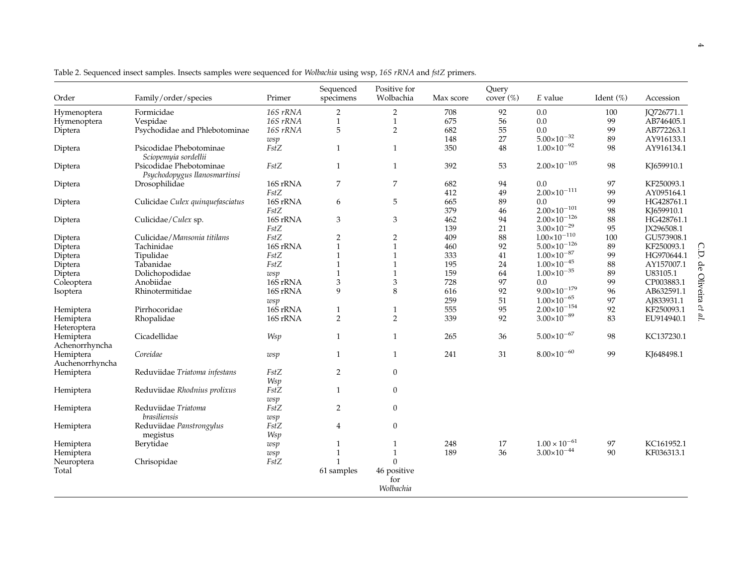| Order                    | Family/order/species                                    | Primer   | Sequenced<br>specimens    | Positive for<br>Wolbachia       | Max score | Query<br>cover $(\%)$ | E value                 | Ident (%) | Accession  |
|--------------------------|---------------------------------------------------------|----------|---------------------------|---------------------------------|-----------|-----------------------|-------------------------|-----------|------------|
| Hymenoptera              | Formicidae                                              | 16S rRNA | $\overline{2}$            | $\overline{2}$                  | 708       | 92                    | 0.0                     | 100       | IO726771.1 |
| Hymenoptera              | Vespidae                                                | 16S rRNA | $\mathbf{1}$              | $\mathbf{1}$                    | 675       | 56                    | 0.0                     | 99        | AB746405.1 |
| Diptera                  | Psychodidae and Phlebotominae                           | 16S rRNA | 5                         | $\overline{2}$                  | 682       | 55                    | 0.0                     | 99        | AB772263.1 |
|                          |                                                         | wsp      |                           |                                 | 148       | 27                    | $5.00\times10^{-32}$    | 89        | AY916133.1 |
| Diptera                  | Psicodidae Phebotominae                                 | FstZ     | $\mathbf{1}$              | $\mathbf{1}$                    | 350       | $\rm 48$              | $1.00{\times}10^{-92}$  | 98        | AY916134.1 |
|                          | Sciopemyia sordellii                                    |          |                           |                                 |           |                       |                         |           |            |
| Diptera                  | Psicodidae Phebotominae<br>Psychodopygus llanosmartinsi | FstZ     | $\mathbf{1}$              | $\mathbf{1}$                    | 392       | 53                    | $2.00\times10^{-105}$   | 98        | KI659910.1 |
| Diptera                  | Drosophilidae                                           | 16S rRNA | 7                         | $\boldsymbol{7}$                | 682       | 94                    | 0.0                     | 97        | KF250093.1 |
|                          |                                                         | FstZ     |                           |                                 | 412       | 49                    | $2.00\times10^{-111}$   | 99        | AY095164.1 |
|                          | Culicidae Culex quinquefasciatus                        | 16S rRNA | 6                         | 5                               | 665       | 89                    | 0.0                     | 99        | HG428761.1 |
| Diptera                  |                                                         |          |                           |                                 |           |                       |                         |           |            |
|                          |                                                         | FstZ     |                           |                                 | 379       | 46                    | $2.00\times10^{-101}$   | 98        | KJ659910.1 |
| Diptera                  | Culicidae/Culex sp.                                     | 16S rRNA | 3                         | 3                               | 462       | 94                    | $2.00\times10^{-126}$   | 88        | HG428761.1 |
|                          |                                                         | FstZ     |                           |                                 | 139       | 21                    | $3.00\times10^{-29}$    | 95        | JX296508.1 |
| Diptera                  | Culicidae/Mansonia titilans                             | FstZ     | $\overline{2}$            | $\overline{2}$                  | 409       | 88                    | $1.00{\times}10^{-110}$ | 100       | GU573908.1 |
| Diptera                  | Tachinidae                                              | 16S rRNA | $\mathbf{1}$              | $\mathbf{1}$                    | 460       | 92                    | $5.00\times10^{-126}$   | 89        | KF250093.1 |
| Diptera                  | Tipulidae                                               | FstZ     | $\mathbf{1}$              | $\mathbf{1}$                    | 333       | 41                    | $1.00{\times}10^{-87}$  | 99        | HG970644.1 |
| Diptera                  | Tabanidae                                               | FstZ     | $\mathbf{1}$              | $\mathbf{1}$                    | 195       | 24                    | $1.00\times10^{-45}$    | 88        | AY157007.1 |
| Diptera                  | Dolichopodidae                                          | wsp      | $\mathbf{1}$              | $\mathbf{1}$                    | 159       | 64                    | $1.00\times10^{-35}$    | 89        | U83105.1   |
| Coleoptera               | Anobiidae                                               | 16S rRNA | $\ensuremath{\mathsf{3}}$ | 3                               | 728       | 97                    | 0.0                     | 99        | CP003883.1 |
| Isoptera                 | Rhinotermitidae                                         | 16S rRNA | 9                         | 8                               | 616       | 92                    | $9.00\times10^{-179}$   | 96        | AB632591.1 |
|                          |                                                         |          |                           |                                 | 259       | 51                    | $1.00\times10^{-65}$    | 97        | AJ833931.1 |
|                          |                                                         | wsp      |                           |                                 |           |                       |                         |           |            |
| Hemiptera                | Pirrhocoridae                                           | 16S rRNA | $\mathbf{1}$              | $\mathbf{1}$                    | 555       | 95                    | $2.00\times10^{-154}$   | 92        | KF250093.1 |
| Hemiptera<br>Heteroptera | Rhopalidae                                              | 16S rRNA | $\overline{2}$            | $\overline{2}$                  | 339       | 92                    | $3.00\times10^{-89}$    | 83        | EU914940.1 |
| Hemiptera                | Cicadellidae                                            | Wsp      | $\mathbf{1}$              | $\mathbf{1}$                    | 265       | 36                    | $5.00\times10^{-67}$    | 98        | KC137230.1 |
| Achenorrhyncha           |                                                         |          |                           |                                 |           |                       |                         |           |            |
| Hemiptera                | Coreidae                                                | wsp      | $\mathbf{1}$              | $\mathbf{1}$                    | 241       | 31                    | $8.00\times10^{-60}$    | 99        | KJ648498.1 |
| Auchenorrhyncha          |                                                         |          |                           |                                 |           |                       |                         |           |            |
|                          | Reduviidae Triatoma infestans                           | FstZ     | $\overline{2}$            | $\mathbf{0}$                    |           |                       |                         |           |            |
| Hemiptera                |                                                         |          |                           |                                 |           |                       |                         |           |            |
|                          |                                                         | Wsp      |                           |                                 |           |                       |                         |           |            |
| Hemiptera                | Reduviidae Rhodnius prolixus                            | FstZ     | $\mathbf{1}$              | $\boldsymbol{0}$                |           |                       |                         |           |            |
|                          |                                                         | wsp      |                           |                                 |           |                       |                         |           |            |
| Hemiptera                | Reduviidae Triatoma                                     | FstZ     | $\overline{2}$            | $\boldsymbol{0}$                |           |                       |                         |           |            |
|                          | brasiliensis                                            | wsp      |                           |                                 |           |                       |                         |           |            |
| Hemiptera                | Reduviidae Panstrongylus                                | FstZ     | 4                         | $\overline{0}$                  |           |                       |                         |           |            |
|                          | megistus                                                | Wsp      |                           |                                 |           |                       |                         |           |            |
| Hemiptera                | Berytidae                                               | wsp      | 1                         | $\mathbf{1}$                    | 248       | 17                    | $1.00 \times 10^{-61}$  | 97        | KC161952.1 |
| Hemiptera                |                                                         | wsp      | $\mathbf{1}$              | $\mathbf{1}$                    | 189       | 36                    | $3.00\times10^{-44}$    | 90        | KF036313.1 |
|                          | Chrisopidae                                             | FstZ     | 1                         | $\Omega$                        |           |                       |                         |           |            |
| Neuroptera               |                                                         |          |                           |                                 |           |                       |                         |           |            |
| Total                    |                                                         |          | 61 samples                | 46 positive<br>for<br>Wolbachia |           |                       |                         |           |            |

<span id="page-3-0"></span>Table 2. Sequenced insect samples. Insects samples were sequenced for Wolbachia using wsp, 16S rRNA and fstZ primers.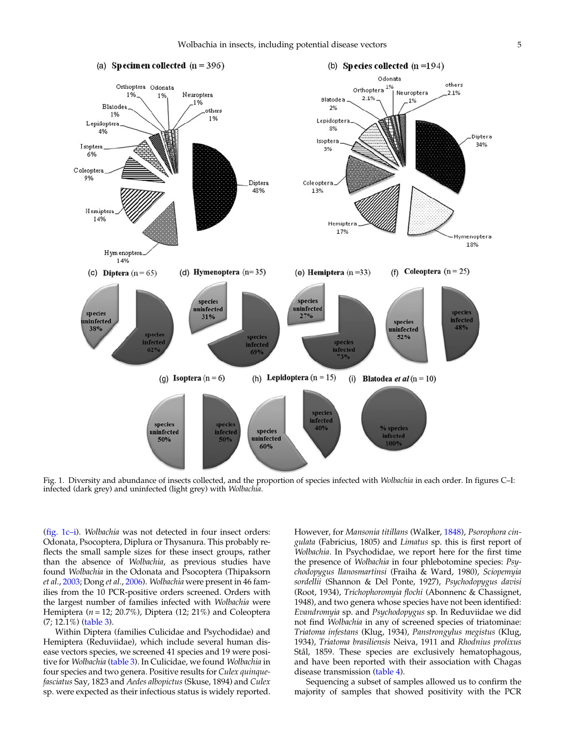<span id="page-4-0"></span>

Fig. 1. Diversity and abundance of insects collected, and the proportion of species infected with Wolbachia in each order. In figures C–I: infected (dark grey) and uninfected (light grey) with Wolbachia.

(fig. 1c–i). Wolbachia was not detected in four insect orders: Odonata, Psocoptera, Diplura or Thysanura. This probably reflects the small sample sizes for these insect groups, rather than the absence of Wolbachia, as previous studies have found Wolbachia in the Odonata and Psocoptera (Thipaksorn et al., [2003](#page-10-0); Dong et al., [2006\)](#page-8-0). Wolbachia were present in 46 families from the 10 PCR-positive orders screened. Orders with the largest number of families infected with Wolbachia were Hemiptera ( $n = 12$ ; 20.7%), Diptera (12; 21%) and Coleoptera (7; 12.1%) ([table 3](#page-5-0)).

Within Diptera (families Culicidae and Psychodidae) and Hemiptera (Reduviidae), which include several human disease vectors species, we screened 41 species and 19 were posi-tive for Wolbachia [\(table 3](#page-5-0)). In Culicidae, we found Wolbachia in four species and two genera. Positive results for Culex quinquefasciatus Say, 1823 and Aedes albopictus (Skuse, 1894) and Culex sp. were expected as their infectious status is widely reported. However, for Mansonia titillans (Walker, [1848\)](#page-10-0), Psorophora cingulata (Fabricius, 1805) and Limatus sp. this is first report of Wolbachia. In Psychodidae, we report here for the first time the presence of Wolbachia in four phlebotomine species: Psychodopygus llanosmartinsi (Fraiha & Ward, 1980), Sciopemyia sordellii (Shannon & Del Ponte, 1927), Psychodopygus davisi (Root, 1934), Trichophoromyia flochi (Abonnenc & Chassignet, 1948), and two genera whose species have not been identified: Evandromyia sp. and Psychodopygus sp. In Reduviidae we did not find Wolbachia in any of screened species of triatominae: Triatoma infestans (Klug, 1934), Panstrongylus megistus (Klug, 1934), Triatoma brasiliensis Neiva, 1911 and Rhodnius prolixus Stål, 1859. These species are exclusively hematophagous, and have been reported with their association with Chagas disease transmission [\(table 4\)](#page-6-0).

Sequencing a subset of samples allowed us to confirm the majority of samples that showed positivity with the PCR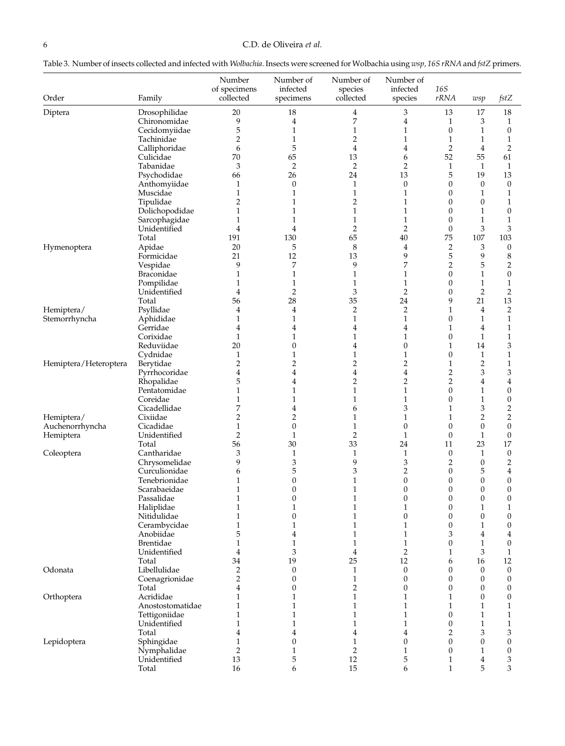<span id="page-5-0"></span>

| Table 3. Number of insects collected and infected with <i>Wolbachia.</i> Insects were screened for Wolbachia using $wsp$ , 165 rRNA and fstZ primers. |  |  |
|-------------------------------------------------------------------------------------------------------------------------------------------------------|--|--|
|-------------------------------------------------------------------------------------------------------------------------------------------------------|--|--|

| Order                 | Family                      | Number<br>of specimens<br>collected | Number of<br>infected<br>specimens | Number of<br>species<br>collected | Number of<br>infected<br>species | <b>16S</b><br>rRNA                   | wsp                              | fstZ                                 |
|-----------------------|-----------------------------|-------------------------------------|------------------------------------|-----------------------------------|----------------------------------|--------------------------------------|----------------------------------|--------------------------------------|
| Diptera               | Drosophilidae               | 20                                  | 18                                 | $\overline{4}$                    | 3                                | 13                                   | 17                               | 18                                   |
|                       | Chironomidae                | 9                                   | 4                                  | 7                                 | 4                                | 1                                    | 3                                | $\mathbf{1}$                         |
|                       | Cecidomyiidae               | 5                                   | $\mathbf{1}$                       | $\mathbf{1}$                      | $\mathbf{1}$                     | $\boldsymbol{0}$                     | 1                                | $\boldsymbol{0}$                     |
|                       | Tachinidae                  | $\overline{2}$                      | $\mathbf{1}$                       | $\overline{2}$                    | $\mathbf{1}$                     | $\mathbf{1}$                         | 1                                | $\mathbf{1}$                         |
|                       | Calliphoridae               | 6                                   | 5                                  | 4                                 | $\overline{4}$                   | $\overline{2}$                       | $\boldsymbol{4}$                 | $\overline{2}$                       |
|                       | Culicidae                   | 70                                  | 65                                 | 13                                | 6                                | 52                                   | 55                               | 61                                   |
|                       | Tabanidae                   | $\mathfrak z$                       | $\overline{2}$                     | $\overline{2}$                    | $\overline{2}$                   | $\mathbf{1}$                         | $\mathbf{1}$                     | $\mathbf{1}$                         |
|                       | Psychodidae<br>Anthomyiidae | 66<br>1                             | 26<br>$\boldsymbol{0}$             | 24<br>$\mathbf{1}$                | 13<br>$\boldsymbol{0}$           | 5<br>$\boldsymbol{0}$                | 19<br>$\mathbf{0}$               | 13<br>$\boldsymbol{0}$               |
|                       | Muscidae                    | $\mathbf{1}$                        | $\mathbf{1}$                       | $\mathbf{1}$                      | $\mathbf{1}$                     | $\mathbf{0}$                         | $\mathbf{1}$                     | $\mathbf{1}$                         |
|                       | Tipulidae                   | $\overline{2}$                      | $\mathbf{1}$                       | $\overline{2}$                    | $\mathbf{1}$                     | $\boldsymbol{0}$                     | $\mathbf{0}$                     | $\mathbf{1}$                         |
|                       | Dolichopodidae              | $\mathbf{1}$                        | 1                                  | $\mathbf{1}$                      | $\mathbf{1}$                     | $\mathbf{0}$                         | $\mathbf{1}$                     | $\boldsymbol{0}$                     |
|                       | Sarcophagidae               | $\mathbf{1}$                        | $\mathbf{1}$                       | $\mathbf{1}$                      | $\mathbf{1}$                     | $\boldsymbol{0}$                     | $\mathbf{1}$                     | $\mathbf{1}$                         |
|                       | Unidentified                | $\overline{4}$                      | $\overline{4}$                     | $\overline{2}$                    | $\overline{2}$                   | $\boldsymbol{0}$                     | 3                                | 3                                    |
|                       | Total                       | 191                                 | 130                                | 65                                | $40\,$                           | 75                                   | 107                              | 103                                  |
| Hymenoptera           | Apidae                      | 20                                  | 5<br>12                            | 8                                 | $\overline{4}$                   | $\overline{2}$                       | 3                                | $\boldsymbol{0}$                     |
|                       | Formicidae<br>Vespidae      | 21<br>9                             | 7                                  | 13<br>9                           | 9<br>7                           | $\mathbf 5$<br>$\overline{2}$        | 9<br>5                           | $\,8\,$<br>$\overline{2}$            |
|                       | Braconidae                  | $\mathbf{1}$                        | $\mathbf{1}$                       | $\mathbf{1}$                      | $\mathbf{1}$                     | $\boldsymbol{0}$                     | $\mathbf{1}$                     | $\boldsymbol{0}$                     |
|                       | Pompilidae                  | 1                                   | $\mathbf{1}$                       | $\mathbf{1}$                      | $\mathbf{1}$                     | $\boldsymbol{0}$                     | $\mathbf{1}$                     | $\mathbf{1}$                         |
|                       | Unidentified                | $\overline{4}$                      | $\overline{2}$                     | 3                                 | $\overline{2}$                   | $\boldsymbol{0}$                     | $\overline{2}$                   | $\sqrt{2}$                           |
|                       | Total                       | 56                                  | 28                                 | 35                                | 24                               | 9                                    | 21                               | 13                                   |
| Hemiptera/            | Psyllidae                   | 4                                   | $\overline{4}$                     | $\overline{2}$                    | $\overline{2}$                   | 1                                    | $\overline{4}$                   | $\overline{2}$                       |
| Stemorrhyncha         | Aphididae                   | $\mathbf{1}$                        | $\mathbf{1}$                       | $\mathbf{1}$                      | $\mathbf{1}$                     | 0                                    | $\mathbf{1}$                     | $\mathbf{1}$                         |
|                       | Gerridae                    | 4                                   | $\overline{4}$                     | 4                                 | $\overline{4}$                   | 1                                    | $\overline{4}$                   | $\mathbf{1}$                         |
|                       | Corixidae<br>Reduviidae     | $\mathbf{1}$<br>20                  | 1<br>$\boldsymbol{0}$              | $\mathbf{1}$                      | $\mathbf{1}$<br>$\boldsymbol{0}$ | 0                                    | $\mathbf{1}$<br>14               | $\mathbf{1}$<br>3                    |
|                       | Cydnidae                    | $\mathbf{1}$                        | $\mathbf{1}$                       | 4<br>$\mathbf{1}$                 | $\mathbf{1}$                     | 1<br>$\mathbf{0}$                    | $\mathbf{1}$                     | $\mathbf{1}$                         |
| Hemiptera/Heteroptera | Berytidae                   | $\overline{2}$                      | $\overline{2}$                     | $\overline{c}$                    | $\overline{2}$                   | $\mathbf{1}$                         | $\overline{2}$                   | $\mathbf{1}$                         |
|                       | Pyrrhocoridae               | 4                                   | $\overline{4}$                     | 4                                 | 4                                | $\overline{2}$                       | 3                                | 3                                    |
|                       | Rhopalidae                  | 5                                   | $\overline{4}$                     | $\overline{2}$                    | $\overline{2}$                   | $\overline{2}$                       | $\overline{4}$                   | $\overline{\mathbf{4}}$              |
|                       | Pentatomidae                | 1                                   | 1                                  | $\mathbf{1}$                      | $\mathbf{1}$                     | $\boldsymbol{0}$                     | $\mathbf{1}$                     | $\boldsymbol{0}$                     |
|                       | Coreidae                    | $\mathbf{1}$                        | $\mathbf{1}$                       | $\mathbf{1}$                      | $\mathbf{1}$                     | $\boldsymbol{0}$                     | $\mathbf{1}$                     | $\boldsymbol{0}$                     |
|                       | Cicadellidae                | 7                                   | 4                                  | 6                                 | 3                                | 1                                    | 3                                | $\sqrt{2}$                           |
| Hemiptera/            | Cixiidae                    | $\overline{2}$                      | $\overline{c}$                     | $\mathbf{1}$                      | $\mathbf{1}$                     | $\mathbf{1}$                         | $\overline{2}$                   | $\sqrt{2}$                           |
| Auchenorrhyncha       | Cicadidae<br>Unidentified   | $\mathbf{1}$<br>$\overline{2}$      | $\boldsymbol{0}$<br>$\mathbf{1}$   | $\mathbf{1}$<br>$\overline{2}$    | $\boldsymbol{0}$<br>$\mathbf{1}$ | $\boldsymbol{0}$<br>$\boldsymbol{0}$ | $\mathbf{0}$<br>$\mathbf{1}$     | $\boldsymbol{0}$<br>$\boldsymbol{0}$ |
| Hemiptera             | Total                       | 56                                  | 30                                 | 33                                | 24                               | 11                                   | 23                               | 17                                   |
| Coleoptera            | Cantharidae                 | 3                                   | $\mathbf{1}$                       | $\mathbf{1}$                      | $\mathbf{1}$                     | $\boldsymbol{0}$                     | 1                                | $\boldsymbol{0}$                     |
|                       | Chrysomelidae               | 9                                   | 3                                  | 9                                 | 3                                | $\overline{2}$                       | $\mathbf{0}$                     | $\overline{2}$                       |
|                       | Curculionidae               | 6                                   | 5                                  | 3                                 | $\overline{2}$                   | $\boldsymbol{0}$                     | 5                                | $\overline{4}$                       |
|                       | Tenebrionidae               | $\mathbf{1}$                        | $\boldsymbol{0}$                   | $\mathbf{1}$                      | $\boldsymbol{0}$                 | $\mathbf{0}$                         | $\boldsymbol{0}$                 | $\boldsymbol{0}$                     |
|                       | Scarabaeidae                | $\mathbf{1}$                        | $\boldsymbol{0}$                   | $\mathbf{1}$                      | $\boldsymbol{0}$                 | $\mathbf{0}$                         | $\boldsymbol{0}$                 | $\boldsymbol{0}$                     |
|                       | Passalidae                  | $\mathbf{1}$                        | $\boldsymbol{0}$                   | $\mathbf{1}$                      | $\mathbf{0}$                     | $\mathbf{0}$                         | $\boldsymbol{0}$                 | $\boldsymbol{0}$                     |
|                       | Haliplidae<br>Nitidulidae   | $\mathbf{1}$<br>$\mathbf 1$         | $\mathbf{1}$<br>$\Omega$           | $\mathbf{1}$<br>1                 | $\mathbf{1}$<br>$\theta$         | $\boldsymbol{0}$<br>$\Omega$         | $\mathbf{1}$<br>$\Omega$         | $\mathbf{1}$<br>$\theta$             |
|                       | Cerambycidae                | $\mathbf 1$                         | $\mathbf{1}$                       | $\mathbf 1$                       | $\mathbf{1}$                     | $\boldsymbol{0}$                     | $\mathbf{1}$                     | $\boldsymbol{0}$                     |
|                       | Anobiidae                   | 5                                   | 4                                  | $\mathbf{1}$                      | $\mathbf{1}$                     | 3                                    | 4                                | $\overline{4}$                       |
|                       | Brentidae                   | $\mathbf{1}$                        | $\mathbf{1}$                       | $\mathbf{1}$                      | $\mathbf{1}$                     | $\boldsymbol{0}$                     | $\mathbf{1}$                     | $\boldsymbol{0}$                     |
|                       | Unidentified                | 4                                   | 3                                  | 4                                 | $\overline{2}$                   | 1                                    | 3                                | $\mathbf{1}$                         |
|                       | Total                       | 34                                  | 19                                 | 25                                | 12                               | 6                                    | 16                               | 12                                   |
| Odonata               | Libellulidae                | $\overline{2}$                      | $\boldsymbol{0}$                   | $\mathbf{1}$                      | $\boldsymbol{0}$                 | 0                                    | $\mathbf{0}$                     | $\boldsymbol{0}$                     |
|                       | Coenagrionidae              | $\sqrt{2}$                          | $\boldsymbol{0}$                   | $\mathbf{1}$                      | $\boldsymbol{0}$                 | 0                                    | $\boldsymbol{0}$                 | $\boldsymbol{0}$                     |
|                       | Total<br>Acrididae          | 4<br>1                              | $\boldsymbol{0}$<br>$\mathbf{1}$   | $\overline{c}$<br>$\mathbf{1}$    | $\boldsymbol{0}$<br>$\mathbf{1}$ | 0<br>1                               | $\boldsymbol{0}$<br>$\mathbf{0}$ | $\boldsymbol{0}$<br>$\boldsymbol{0}$ |
| Orthoptera            | Anostostomatidae            | 1                                   | 1                                  | $\mathbf{1}$                      | $\mathbf{1}$                     | 1                                    | $\mathbf{1}$                     | $\mathbf{1}$                         |
|                       | Tettigoniidae               | $\mathbf{1}$                        | $\mathbf{1}$                       | $\mathbf{1}$                      | $\mathbf{1}$                     | $\boldsymbol{0}$                     | $\mathbf{1}$                     | $\mathbf{1}$                         |
|                       | Unidentified                | $\mathbf{1}$                        | 1                                  | $\mathbf{1}$                      | $\mathbf{1}$                     | 0                                    | $\mathbf{1}$                     | $\mathbf{1}$                         |
|                       | Total                       | 4                                   | $\overline{4}$                     | 4                                 | 4                                | $\overline{2}$                       | 3                                | 3                                    |
| Lepidoptera           | Sphingidae                  | $\mathbf{1}$                        | $\boldsymbol{0}$                   | $\mathbf{1}$                      | $\boldsymbol{0}$                 | 0                                    | $\boldsymbol{0}$                 | $\boldsymbol{0}$                     |
|                       | Nymphalidae                 | $\overline{2}$                      | $\mathbf{1}$                       | $\overline{2}$                    | $\mathbf{1}$                     | $\boldsymbol{0}$                     | $\mathbf{1}$                     | $\boldsymbol{0}$                     |
|                       | Unidentified                | 13                                  | 5                                  | 12                                | 5                                | 1                                    | 4                                | 3                                    |
|                       | Total                       | 16                                  | 6                                  | 15                                | 6                                | $\mathbf{1}$                         | 5                                | 3                                    |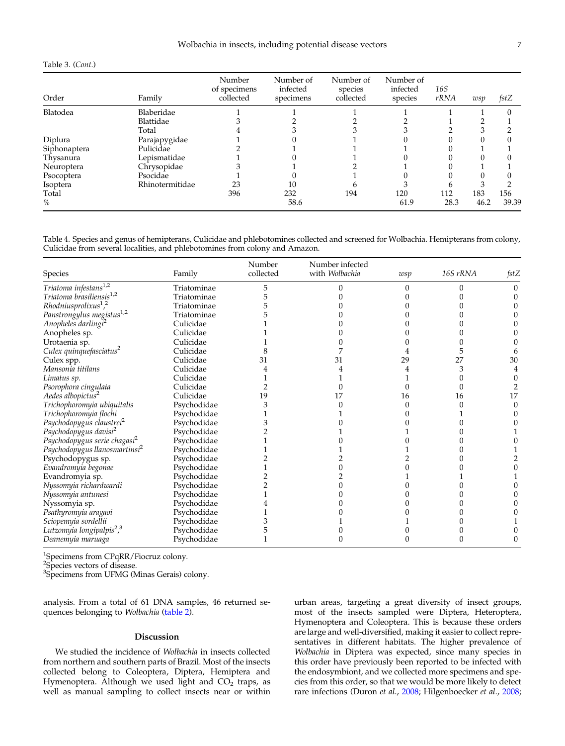## <span id="page-6-0"></span>Table 3. (Cont.)

| Order        | Family          | Number<br>of specimens<br>collected | Number of<br>infected<br>specimens | Number of<br>species<br>collected | Number of<br>infected<br>species | 16S<br>rRNA | wsp  | fstZ  |
|--------------|-----------------|-------------------------------------|------------------------------------|-----------------------------------|----------------------------------|-------------|------|-------|
| Blatodea     | Blaberidae      |                                     |                                    |                                   |                                  |             |      |       |
|              | Blattidae       |                                     |                                    |                                   |                                  |             |      |       |
|              | Total           |                                     |                                    |                                   |                                  |             |      |       |
| Diplura      | Parajapygidae   |                                     |                                    |                                   |                                  |             |      |       |
| Siphonaptera | Pulicidae       |                                     |                                    |                                   |                                  |             |      |       |
| Thysanura    | Lepismatidae    |                                     |                                    |                                   |                                  |             |      |       |
| Neuroptera   | Chrysopidae     |                                     |                                    |                                   |                                  |             |      |       |
| Psocoptera   | Psocidae        |                                     |                                    |                                   |                                  |             |      |       |
| Isoptera     | Rhinotermitidae | 23                                  | 10                                 |                                   |                                  |             |      |       |
| Total        |                 | 396                                 | 232                                | 194                               | 120                              | 112         | 183  | 156   |
| $\%$         |                 |                                     | 58.6                               |                                   | 61.9                             | 28.3        | 46.2 | 39.39 |

Table 4. Species and genus of hemipterans, Culicidae and phlebotomines collected and screened for Wolbachia. Hemipterans from colony, Culicidae from several localities, and phlebotomines from colony and Amazon.

| Species                                           | Family      | Number<br>collected | Number infected<br>with Wolbachia | wsp | 16S rRNA | fstZ |
|---------------------------------------------------|-------------|---------------------|-----------------------------------|-----|----------|------|
| Triatoma infestans <sup>1,2</sup>                 | Triatominae |                     |                                   |     |          |      |
| Triatoma brasiliensis <sup>1,2</sup>              | Triatominae |                     |                                   |     |          |      |
| Rhodniusprolixus <sup>1</sup> , <sup>2</sup>      | Triatominae |                     |                                   |     |          |      |
| Panstrongylus megistus <sup>1,2</sup>             | Triatominae |                     |                                   |     |          |      |
| Anopheles darlingi <sup>2</sup>                   | Culicidae   |                     |                                   |     |          |      |
| Anopheles sp.                                     | Culicidae   |                     |                                   |     |          |      |
| Urotaenia sp.                                     | Culicidae   |                     |                                   |     |          |      |
| Culex quinquefasciatus <sup>2</sup>               | Culicidae   |                     |                                   |     |          |      |
| Culex spp.                                        | Culicidae   | 31                  | 31                                | 29  | 27       | 30   |
| Mansonia titilans                                 | Culicidae   |                     |                                   |     |          |      |
| Limatus sp.                                       | Culicidae   |                     |                                   |     |          |      |
| Psorophora cingulata                              | Culicidae   |                     |                                   |     |          |      |
| Aedes albopictus <sup>2</sup>                     | Culicidae   | 19                  |                                   | 16  | 16       | 17   |
| Trichophoromyia ubiquitalis                       | Psychodidae |                     |                                   |     |          |      |
| Trichophoromyia flochi                            | Psychodidae |                     |                                   |     |          |      |
| Psychodopygus claustrei <sup>2</sup>              | Psychodidae |                     |                                   |     |          |      |
| Psychodopygus davisi <sup>2</sup>                 | Psychodidae |                     |                                   |     |          |      |
| Psychodopygus serie chagasi <sup>2</sup>          | Psychodidae |                     |                                   |     |          |      |
| Psychodopygus llanosmartinsi <sup>2</sup>         | Psychodidae |                     |                                   |     |          |      |
| Psychodopygus sp.                                 | Psychodidae |                     |                                   |     |          |      |
| Evandromyia begonae                               | Psychodidae |                     |                                   |     |          |      |
| Evandromyia sp.                                   | Psychodidae |                     |                                   |     |          |      |
| Nyssomyia richardwardi                            | Psychodidae |                     |                                   |     |          |      |
| Nyssomyia antunesi                                | Psychodidae |                     |                                   |     |          |      |
| Nyssomyia sp.                                     | Psychodidae |                     |                                   |     |          |      |
| Psathyromyia aragaoi                              | Psychodidae |                     |                                   |     |          |      |
| Sciopemyia sordellii                              | Psychodidae |                     |                                   |     |          |      |
| Lutzomyia longipalpis <sup>2</sup> , <sup>3</sup> | Psychodidae |                     |                                   |     |          |      |
| Deanemyia maruaga                                 | Psychodidae |                     |                                   |     |          |      |

1 Specimens from CPqRR/Fiocruz colony.

<sup>2</sup>Species vectors of disease.

3 Specimens from UFMG (Minas Gerais) colony.

analysis. From a total of 61 DNA samples, 46 returned se-quences belonging to Wolbachia [\(table 2\)](#page-3-0).

# Discussion

We studied the incidence of Wolbachia in insects collected from northern and southern parts of Brazil. Most of the insects collected belong to Coleoptera, Diptera, Hemiptera and Hymenoptera. Although we used light and  $CO<sub>2</sub>$  traps, as well as manual sampling to collect insects near or within urban areas, targeting a great diversity of insect groups, most of the insects sampled were Diptera, Heteroptera, Hymenoptera and Coleoptera. This is because these orders are large and well-diversified, making it easier to collect representatives in different habitats. The higher prevalence of Wolbachia in Diptera was expected, since many species in this order have previously been reported to be infected with the endosymbiont, and we collected more specimens and species from this order, so that we would be more likely to detect rare infections (Duron et al., [2008](#page-8-0); Hilgenboecker et al., [2008](#page-9-0);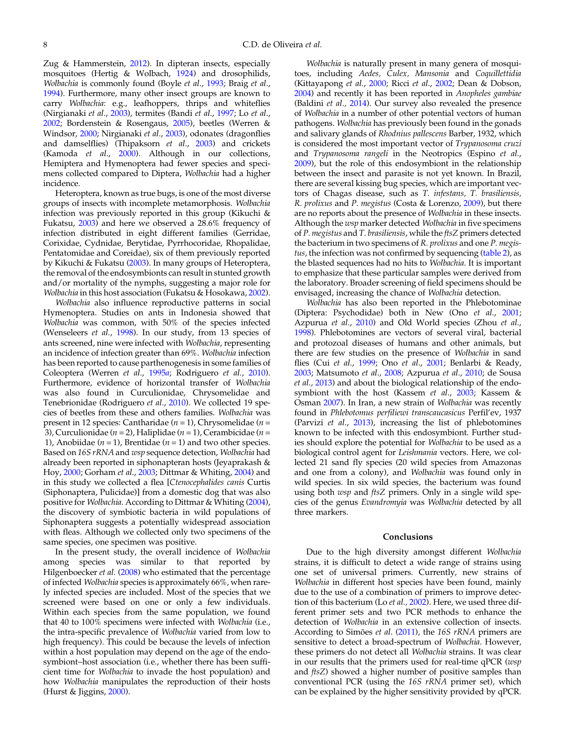Zug & Hammerstein, [2012\)](#page-10-0). In dipteran insects, especially mosquitoes (Hertig & Wolbach, [1924](#page-9-0)) and drosophilids, Wolbachia is commonly found (Boyle et al., [1993](#page-8-0); Braig et al., [1994](#page-8-0)). Furthermore, many other insect groups are known to carry Wolbachia: e.g., leafhoppers, thrips and whiteflies (Nirgianaki et al., [2003](#page-9-0)), termites (Bandi et al., [1997;](#page-8-0) Lo et al., [2002](#page-9-0); Bordenstein & Rosengaus, [2005\)](#page-8-0), beetles (Werren & Windsor, [2000](#page-10-0); Nirgianaki et al., [2003](#page-9-0)), odonates (dragonflies and damselflies) (Thipaksorn et al., [2003](#page-10-0)) and crickets (Kamoda et al., [2000](#page-9-0)). Although in our collections, Hemiptera and Hymenoptera had fewer species and specimens collected compared to Diptera, Wolbachia had a higher incidence.

Heteroptera, known as true bugs, is one of the most diverse groups of insects with incomplete metamorphosis. Wolbachia infection was previously reported in this group (Kikuchi & Fukatsu, [2003\)](#page-9-0) and here we observed a 28.6% frequency of infection distributed in eight different families (Gerridae, Corixidae, Cydnidae, Berytidae, Pyrrhocoridae, Rhopalidae, Pentatomidae and Coreidae), six of them previously reported by Kikuchi & Fukatsu ([2003\)](#page-9-0). In many groups of Heteroptera, the removal of the endosymbionts can result in stunted growth and/or mortality of the nymphs, suggesting a major role for Wolbachia in this host association (Fukatsu & Hosokawa, [2002\)](#page-9-0).

Wolbachia also influence reproductive patterns in social Hymenoptera. Studies on ants in Indonesia showed that Wolbachia was common, with 50% of the species infected (Wenseleers *et al.*, [1998\)](#page-10-0). In our study, from 13 species of ants screened, nine were infected with Wolbachia, representing an incidence of infection greater than 69%. Wolbachia infection has been reported to cause parthenogenesis in some families of Coleoptera (Werren et al., [1995](#page-10-0)a; Rodriguero et al., [2010\)](#page-10-0). Furthermore, evidence of horizontal transfer of Wolbachia was also found in Curculionidae, Chrysomelidae and Tenebrionidae (Rodriguero et al., [2010\)](#page-10-0). We collected 19 species of beetles from these and others families. Wolbachia was present in 12 species: Cantharidae ( $n = 1$ ), Chrysomelidae ( $n =$ 3), Curculionidae ( $n = 2$ ), Haliplidae ( $n = 1$ ), Cerambicidae ( $n = 1$ ) 1), Anobiidae ( $n = 1$ ), Brentidae ( $n = 1$ ) and two other species. Based on 16S rRNA and wsp sequence detection, Wolbachia had already been reported in siphonapteran hosts (Jeyaprakash & Hoy, [2000;](#page-9-0) Gorham et al., [2003;](#page-9-0) Dittmar & Whiting, [2004](#page-8-0)) and in this study we collected a flea [Ctenocephalides canis Curtis (Siphonaptera, Pulicidae)] from a domestic dog that was also positive for Wolbachia. According to Dittmar & Whiting ([2004\)](#page-8-0), the discovery of symbiotic bacteria in wild populations of Siphonaptera suggests a potentially widespread association with fleas. Although we collected only two specimens of the same species, one specimen was positive.

In the present study, the overall incidence of Wolbachia among species was similar to that reported by Hilgenboecker et al. [\(2008](#page-9-0)) who estimated that the percentage of infected Wolbachia species is approximately 66%, when rarely infected species are included. Most of the species that we screened were based on one or only a few individuals. Within each species from the same population, we found that 40 to 100% specimens were infected with Wolbachia (i.e., the intra-specific prevalence of Wolbachia varied from low to high frequency). This could be because the levels of infection within a host population may depend on the age of the endosymbiont–host association (i.e., whether there has been sufficient time for Wolbachia to invade the host population) and how Wolbachia manipulates the reproduction of their hosts (Hurst & Jiggins,  $2000$ ).

Wolbachia is naturally present in many genera of mosquitoes, including Aedes, Culex, Mansonia and Coquillettidia (Kittayapong et al., [2000;](#page-9-0) Ricci et al., [2002](#page-9-0); Dean & Dobson, [2004](#page-8-0)) and recently it has been reported in Anopheles gambiae (Baldini et al., [2014](#page-8-0)). Our survey also revealed the presence of Wolbachia in a number of other potential vectors of human pathogens. Wolbachia has previously been found in the gonads and salivary glands of Rhodnius pallescens Barber, 1932, which is considered the most important vector of Trypanosoma cruzi and Trypanosoma rangeli in the Neotropics (Espino et al., [2009](#page-8-0)), but the role of this endosymbiont in the relationship between the insect and parasite is not yet known. In Brazil, there are several kissing bug species, which are important vectors of Chagas disease, such as T. infestans, T. brasiliensis, R. prolixus and P. megistus (Costa & Lorenzo, [2009](#page-8-0)), but there are no reports about the presence of Wolbachia in these insects. Although the wsp marker detected Wolbachia in five specimens of P. megistus and T. brasiliensis, while the ftsZ primers detected the bacterium in two specimens of R. prolixus and one P. megis-tus, the infection was not confirmed by sequencing [\(table 2](#page-3-0)), as the blasted sequences had no hits to Wolbachia. It is important to emphasize that these particular samples were derived from the laboratory. Broader screening of field specimens should be envisaged, increasing the chance of Wolbachia detection.

Wolbachia has also been reported in the Phlebotominae (Diptera: Psychodidae) both in New (Ono et al., [2001](#page-9-0); Azpurua et al., [2010](#page-8-0)) and Old World species (Zhou et al., [1998](#page-10-0)). Phlebotomines are vectors of several viral, bacterial and protozoal diseases of humans and other animals, but there are few studies on the presence of Wolbachia in sand flies (Cui et al., [1999;](#page-8-0) Ono et al., [2001](#page-9-0); Benlarbi & Ready, [2003](#page-8-0); Matsumoto et al., [2008](#page-9-0); Azpurua et al., [2010](#page-8-0); de Sousa et al., [2013\)](#page-8-0) and about the biological relationship of the endosymbiont with the host (Kassem et al., [2003;](#page-9-0) Kassem & Osman [2007\)](#page-9-0). In Iran, a new strain of Wolbachia was recently found in Phlebotomus perfiliewi transcaucasicus Perfil'ev, 1937 (Parvizi et al., [2013\)](#page-9-0), increasing the list of phlebotomines known to be infected with this endosymbiont. Further studies should explore the potential for Wolbachia to be used as a biological control agent for Leishmania vectors. Here, we collected 21 sand fly species (20 wild species from Amazonas and one from a colony), and Wolbachia was found only in wild species. In six wild species, the bacterium was found using both wsp and ftsZ primers. Only in a single wild species of the genus Evandromyia was Wolbachia detected by all three markers.

### Conclusions

Due to the high diversity amongst different Wolbachia strains, it is difficult to detect a wide range of strains using one set of universal primers. Currently, new strains of Wolbachia in different host species have been found, mainly due to the use of a combination of primers to improve detec-tion of this bacterium (Lo et al., [2002\)](#page-9-0). Here, we used three different primer sets and two PCR methods to enhance the detection of Wolbachia in an extensive collection of insects. According to Simões et al. ([2011\)](#page-10-0), the 16S rRNA primers are sensitive to detect a broad-spectrum of Wolbachia. However, these primers do not detect all Wolbachia strains. It was clear in our results that the primers used for real-time qPCR (wsp and *ftsZ*) showed a higher number of positive samples than conventional PCR (using the 16S rRNA primer set), which can be explained by the higher sensitivity provided by qPCR.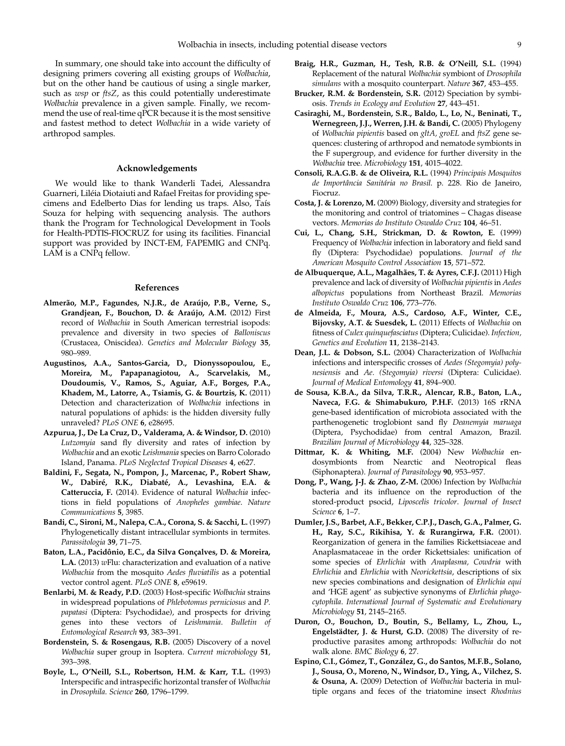<span id="page-8-0"></span>In summary, one should take into account the difficulty of designing primers covering all existing groups of Wolbachia, but on the other hand be cautious of using a single marker, such as wsp or ftsZ, as this could potentially underestimate Wolbachia prevalence in a given sample. Finally, we recommend the use of real-time qPCR because it is the most sensitive and fastest method to detect Wolbachia in a wide variety of arthropod samples.

## Acknowledgements

We would like to thank Wanderli Tadei, Alessandra Guarneri, Liléia Diotaiuti and Rafael Freitas for providing specimens and Edelberto Dias for lending us traps. Also, Taís Souza for helping with sequencing analysis. The authors thank the Program for Technological Development in Tools for Health-PDTIS-FIOCRUZ for using its facilities. Financial support was provided by INCT-EM, FAPEMIG and CNPq. LAM is a CNPq fellow.

## References

- Almerão, M.P., Fagundes, N.J.R., de Araújo, P.B., Verne, S., Grandjean, F., Bouchon, D. & Araújo, A.M. (2012) First record of Wolbachia in South American terrestrial isopods: prevalence and diversity in two species of Balloniscus (Crustacea, Oniscidea). Genetics and Molecular Biology 35, 980–989.
- Augustinos, A.A., Santos-Garcia, D., Dionyssopoulou, E., Moreira, M., Papapanagiotou, A., Scarvelakis, M., Doudoumis, V., Ramos, S., Aguiar, A.F., Borges, P.A., Khadem, M., Latorre, A., Tsiamis, G. & Bourtzis, K. (2011) Detection and characterization of Wolbachia infections in natural populations of aphids: is the hidden diversity fully unraveled? PLoS ONE 6, e28695.
- Azpurua, J., De La Cruz, D., Valderama, A. & Windsor, D. (2010) Lutzomyia sand fly diversity and rates of infection by Wolbachia and an exotic Leishmania species on Barro Colorado Island, Panama. PLoS Neglected Tropical Diseases 4, e627.
- Baldini, F., Segata, N., Pompon, J., Marcenac, P., Robert Shaw, W., Dabiré, R.K., Diabaté, A., Levashina, E.A. & Catteruccia, F. (2014). Evidence of natural Wolbachia infections in field populations of Anopheles gambiae. Nature Communications 5, 3985.
- Bandi, C., Sironi, M., Nalepa, C.A., Corona, S. & Sacchi, L. (1997) Phylogenetically distant intracellular symbionts in termites. Parassitologia 39, 71–75.
- Baton, L.A., Pacidônio, E.C., da Silva Gonçalves, D. & Moreira, **L.A.** (2013)  $w$ Flu: characterization and evaluation of a native Wolbachia from the mosquito Aedes fluviatilis as a potential vector control agent. PLoS ONE 8, e59619.
- Benlarbi, M. & Ready, P.D. (2003) Host-specific Wolbachia strains in widespread populations of Phlebotomus perniciosus and P. papatasi (Diptera: Psychodidae), and prospects for driving genes into these vectors of Leishmania. Bulletin of Entomological Research 93, 383–391.
- Bordenstein, S. & Rosengaus, R.B. (2005) Discovery of a novel Wolbachia super group in Isoptera. Current microbiology 51, 393–398.
- Boyle, L., O'Neill, S.L., Robertson, H.M. & Karr, T.L. (1993) Interspecific and intraspecific horizontal transfer of Wolbachia in Drosophila. Science 260, 1796–1799.
- Braig, H.R., Guzman, H., Tesh, R.B. & O'Neill, S.L. (1994) Replacement of the natural Wolbachia symbiont of Drosophila simulans with a mosquito counterpart. Nature 367, 453-455.
- Brucker, R.M. & Bordenstein, S.R. (2012) Speciation by symbiosis. Trends in Ecology and Evolution 27, 443–451.
- Casiraghi, M., Bordenstein, S.R., Baldo, L., Lo, N., Beninati, T., Wernegreen, J.J., Werren, J.H. & Bandi, C. (2005) Phylogeny of Wolbachia pipientis based on gltA, groEL and ftsZ gene sequences: clustering of arthropod and nematode symbionts in the F supergroup, and evidence for further diversity in the Wolbachia tree. Microbiology 151, 4015–4022.
- Consoli, R.A.G.B. & de Oliveira, R.L. (1994) Principais Mosquitos de Importância Sanitária no Brasil. p. 228. Rio de Janeiro, Fiocruz.
- Costa, J. & Lorenzo, M. (2009) Biology, diversity and strategies for the monitoring and control of triatomines – Chagas disease vectors. Memorias do Instituto Oswaldo Cruz 104, 46–51.
- Cui, L., Chang, S.H., Strickman, D. & Rowton, E. (1999) Frequency of Wolbachia infection in laboratory and field sand fly (Diptera: Psychodidae) populations. Journal of the American Mosquito Control Association 15, 571–572.
- de Albuquerque, A.L., Magalhães, T. & Ayres, C.F.J. (2011) High prevalence and lack of diversity of Wolbachia pipientis in Aedes albopictus populations from Northeast Brazil. Memorias Instituto Oswaldo Cruz 106, 773–776.
- de Almeida, F., Moura, A.S., Cardoso, A.F., Winter, C.E., Bijovsky, A.T. & Suesdek, L. (2011) Effects of Wolbachia on fitness of Culex quinquefasciatus (Diptera; Culicidae). Infection, Genetics and Evolution 11, 2138–2143.
- Dean, J.L. & Dobson, S.L. (2004) Characterization of Wolbachia infections and interspecific crosses of Aedes (Stegomyia) polynesiensis and Ae. (Stegomyia) riversi (Diptera: Culicidae). Journal of Medical Entomology 41, 894–900.
- de Sousa, K.B.A., da Silva, T.R.R., Alencar, R.B., Baton, L.A., Naveca, F.G. & Shimabukuro, P.H.F. (2013) 16S rRNA gene-based identification of microbiota associated with the parthenogenetic troglobiont sand fly Deanemyia maruaga (Diptera, Psychodidae) from central Amazon, Brazil. Brazilian Journal of Microbiology 44, 325–328.
- Dittmar, K. & Whiting, M.F. (2004) New Wolbachia endosymbionts from Nearctic and Neotropical fleas (Siphonaptera). Journal of Parasitology 90, 953–957.
- Dong, P., Wang, J-J. & Zhao, Z-M. (2006) Infection by Wolbachia bacteria and its influence on the reproduction of the stored-product psocid, Liposcelis tricolor. Journal of Insect Science 6, 1–7.
- Dumler, J.S., Barbet, A.F., Bekker, C.P.J., Dasch, G.A., Palmer, G. H., Ray, S.C., Rikihisa, Y. & Rurangirwa, F.R. (2001). Reorganization of genera in the families Rickettsiaceae and Anaplasmataceae in the order Rickettsiales: unification of some species of Ehrlichia with Anaplasma, Cowdria with Ehrlichia and Ehrlichia with Neorickettsia, descriptions of six new species combinations and designation of Ehrlichia equi and 'HGE agent' as subjective synonyms of Ehrlichia phagocytophila. International Journal of Systematic and Evolutionary Microbiology 51, 2145–2165.
- Duron, O., Bouchon, D., Boutin, S., Bellamy, L., Zhou, L., Engelstädter, J. & Hurst, G.D. (2008) The diversity of reproductive parasites among arthropods: Wolbachia do not walk alone. BMC Biology 6, 27.
- Espino, C.I., Gómez, T., González, G., do Santos, M.F.B., Solano, J., Sousa, O., Moreno, N., Windsor, D., Ying, A., Vilchez, S. & Osuna, A. (2009) Detection of Wolbachia bacteria in multiple organs and feces of the triatomine insect Rhodnius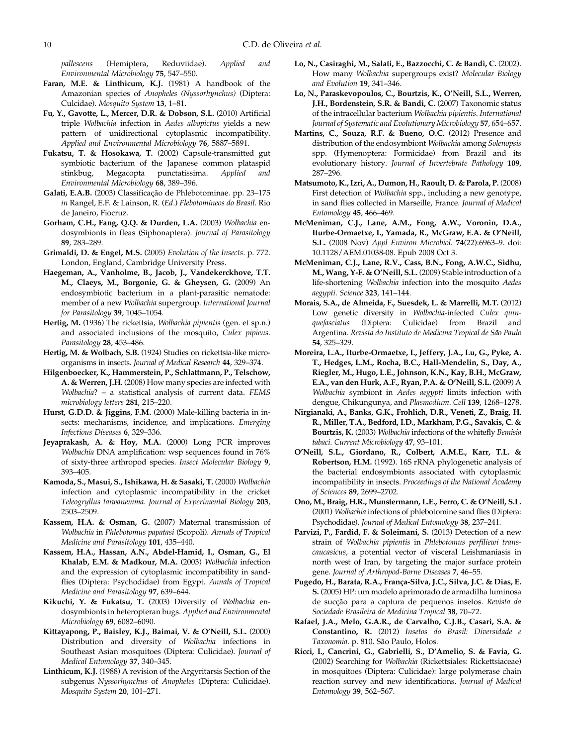<span id="page-9-0"></span>pallescens (Hemiptera, Reduviidae). Applied and Environmental Microbiology 75, 547–550.

- Faran, M.E. & Linthicum, K.J. (1981) A handbook of the Amazonian species of Anopheles (Nyssorhynchus) (Diptera: Culcidae). Mosquito System 13, 1–81.
- Fu, Y., Gavotte, L., Mercer, D.R. & Dobson, S.L. (2010) Artificial triple Wolbachia infection in Aedes albopictus yields a new pattern of unidirectional cytoplasmic incompatibility. Applied and Environmental Microbiology 76, 5887–5891.
- Fukatsu, T. & Hosokawa, T. (2002) Capsule-transmitted gut symbiotic bacterium of the Japanese common plataspid stinkbug, Megacopta punctatissima. Applied and Environmental Microbiology 68, 389–396.
- Galati, E.A.B. (2003) Classificação de Phlebotominae. pp. 23–175 in Rangel, E.F. & Lainson, R. (Ed.) Flebotomíneos do Brasil. Rio de Janeiro, Fiocruz.
- Gorham, C.H., Fang, Q.Q. & Durden, L.A. (2003) Wolbachia endosymbionts in fleas (Siphonaptera). Journal of Parasitology 89, 283–289.
- Grimaldi, D. & Engel, M.S. (2005) Evolution of the Insects. p. 772. London, England, Cambridge University Press.
- Haegeman, A., Vanholme, B., Jacob, J., Vandekerckhove, T.T. M., Claeys, M., Borgonie, G. & Gheysen, G. (2009) An endosymbiotic bacterium in a plant-parasitic nematode: member of a new Wolbachia supergroup. International Journal for Parasitology 39, 1045–1054.
- Hertig, M. (1936) The rickettsia, Wolbachia pipientis (gen. et sp.n.) and associated inclusions of the mosquito, Culex pipiens. Parasitology 28, 453-486.
- Hertig, M. & Wolbach, S.B. (1924) Studies on rickettsia-like microorganisms in insects. Journal of Medical Research 44, 329–374.
- Hilgenboecker, K., Hammerstein, P., Schlattmann, P., Telschow, A. & Werren, J.H. (2008) How many species are infected with Wolbachia? – a statistical analysis of current data. FEMS microbiology letters 281, 215–220.
- Hurst, G.D.D. & Jiggins, F.M. (2000) Male-killing bacteria in insects: mechanisms, incidence, and implications. Emerging Infectious Diseases 6, 329–336.
- Jeyaprakash, A. & Hoy, M.A. (2000) Long PCR improves Wolbachia DNA amplification: wsp sequences found in 76% of sixty-three arthropod species. Insect Molecular Biology 9, 393–405.
- Kamoda, S., Masui, S., Ishikawa, H. & Sasaki, T. (2000) Wolbachia infection and cytoplasmic incompatibility in the cricket Teleogryllus taiwanemma. Journal of Experimental Biology 203, 2503–2509.
- Kassem, H.A. & Osman, G. (2007) Maternal transmission of Wolbachia in Phlebotomus papatasi (Scopoli). Annals of Tropical Medicine and Parasitology 101, 435–440.
- Kassem, H.A., Hassan, A.N., Abdel-Hamid, I., Osman, G., El Khalab, E.M. & Madkour, M.A. (2003) Wolbachia infection and the expression of cytoplasmic incompatibility in sandflies (Diptera: Psychodidae) from Egypt. Annals of Tropical Medicine and Parasitology 97, 639–644.
- Kikuchi, Y. & Fukatsu, T. (2003) Diversity of Wolbachia endosymbionts in heteropteran bugs. Applied and Environmental Microbiology 69, 6082–6090.
- Kittayapong, P., Baisley, K.J., Baimai, V. & O'Neill, S.L. (2000) Distribution and diversity of Wolbachia infections in Southeast Asian mosquitoes (Diptera: Culicidae). Journal of Medical Entomology 37, 340–345.
- Linthicum, K.J. (1988) A revision of the Argyritarsis Section of the subgenus Nyssorhynchus of Anopheles (Diptera: Culicidae). Mosquito System 20, 101–271.
- Lo, N., Casiraghi, M., Salati, E., Bazzocchi, C. & Bandi, C. (2002). How many Wolbachia supergroups exist? Molecular Biology and Evolution 19, 341–346.
- Lo, N., Paraskevopoulos, C., Bourtzis, K., O'Neill, S.L., Werren, J.H., Bordenstein, S.R. & Bandi, C. (2007) Taxonomic status of the intracellular bacterium Wolbachia pipientis. International Journal of Systematic and Evolutionary Microbiology 57, 654–657.
- Martins, C., Souza, R.F. & Bueno, O.C. (2012) Presence and distribution of the endosymbiont Wolbachia among Solenopsis spp. (Hymenoptera: Formicidae) from Brazil and its evolutionary history. Journal of Invertebrate Pathology 109, 287–296.
- Matsumoto, K., Izri, A., Dumon, H., Raoult, D. & Parola, P. (2008) First detection of Wolbachia spp., including a new genotype, in sand flies collected in Marseille, France. Journal of Medical Entomology 45, 466–469.
- McMeniman, C.J., Lane, A.M., Fong, A.W., Voronin, D.A., Iturbe-Ormaetxe, I., Yamada, R., McGraw, E.A. & O'Neill, S.L. (2008 Nov) Appl Environ Microbiol. 74(22):6963–9. doi: 10.1128/AEM.01038-08. Epub 2008 Oct 3.
- McMeniman, C.J., Lane, R.V., Cass, B.N., Fong, A.W.C., Sidhu, M., Wang, Y-F. & O'Neill, S.L. (2009) Stable introduction of a life-shortening Wolbachia infection into the mosquito Aedes aegypti. Science 323, 141–144.
- Morais, S.A., de Almeida, F., Suesdek, L. & Marrelli, M.T. (2012) Low genetic diversity in Wolbachia-infected Culex quinquefasciatus (Diptera: Culicidae) from Brazil and Argentina. Revista do Instituto de Medicina Tropical de São Paulo 54, 325–329.
- Moreira, L.A., Iturbe-Ormaetxe, I., Jeffery, J.A., Lu, G., Pyke, A. T., Hedges, L.M., Rocha, B.C., Hall-Mendelin, S., Day, A., Riegler, M., Hugo, L.E., Johnson, K.N., Kay, B.H., McGraw, E.A., van den Hurk, A.F., Ryan, P.A. & O'Neill, S.L. (2009) A Wolbachia symbiont in Aedes aegypti limits infection with dengue, Chikungunya, and Plasmodium. Cell 139, 1268-1278.
- Nirgianaki, A., Banks, G.K., Frohlich, D.R., Veneti, Z., Braig, H. R., Miller, T.A., Bedford, I.D., Markham, P.G., Savakis, C. & Bourtzis, K. (2003) Wolbachia infections of the whitefly Bemisia tabaci. Current Microbiology 47, 93–101.
- O'Neill, S.L., Giordano, R., Colbert, A.M.E., Karr, T.L. & Robertson, H.M. (1992). 16S rRNA phylogenetic analysis of the bacterial endosymbionts associated with cytoplasmic incompatibility in insects. Proceedings of the National Academy of Sciences 89, 2699–2702.
- Ono, M., Braig, H.R., Munstermann, L.E., Ferro, C. & O'Neill, S.L. (2001) Wolbachia infections of phlebotomine sand flies (Diptera: Psychodidae). Journal of Medical Entomology 38, 237–241.
- Parvizi, P., Fardid, F. & Soleimani, S. (2013) Detection of a new strain of Wolbachia pipientis in Phlebotomus perfiliewi transcaucasicus, a potential vector of visceral Leishmaniasis in north west of Iran, by targeting the major surface protein gene. Journal of Arthropod-Borne Diseases 7, 46–55.
- Pugedo, H., Barata, R.A., França-Silva, J.C., Silva, J.C. & Dias, E. S. (2005) HP: um modelo aprimorado de armadilha luminosa de sucção para a captura de pequenos insetos. Revista da Sociedade Brasileira de Medicina Tropical 38, 70–72.
- Rafael, J.A., Melo, G.A.R., de Carvalho, C.J.B., Casari, S.A. & Constantino, R. (2012) Insetos do Brasil: Diversidade e Taxonomia. p. 810. São Paulo, Holos.
- Ricci, I., Cancrini, G., Gabrielli, S., D'Amelio, S. & Favia, G. (2002) Searching for Wolbachia (Rickettsiales: Rickettsiaceae) in mosquitoes (Diptera: Culicidae): large polymerase chain reaction survey and new identifications. Journal of Medical Entomology 39, 562–567.